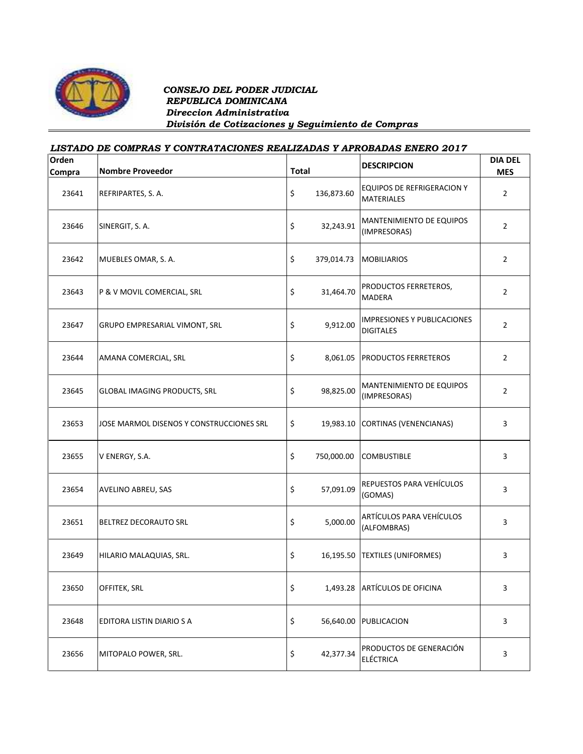

## *CONSEJO DEL PODER JUDICIAL REPUBLICA DOMINICANA Direccion Administrativa División de Cotizaciones y Seguimiento de Compras*

## *LISTADO DE COMPRAS Y CONTRATACIONES REALIZADAS Y APROBADAS ENERO 2017*

| Orden<br>Compra | <b>Nombre Proveedor</b>                  | <b>Total</b> |            | <b>DESCRIPCION</b>                                     | <b>DIA DEL</b><br><b>MES</b> |
|-----------------|------------------------------------------|--------------|------------|--------------------------------------------------------|------------------------------|
| 23641           | REFRIPARTES, S. A.                       | \$           | 136,873.60 | <b>EQUIPOS DE REFRIGERACION Y</b><br><b>MATERIALES</b> | $\overline{2}$               |
| 23646           | SINERGIT, S. A.                          | \$           | 32,243.91  | MANTENIMIENTO DE EQUIPOS<br>(IMPRESORAS)               | $\overline{2}$               |
| 23642           | MUEBLES OMAR, S. A.                      | \$           | 379,014.73 | <b>MOBILIARIOS</b>                                     | $\overline{2}$               |
| 23643           | P & V MOVIL COMERCIAL, SRL               | \$           | 31,464.70  | PRODUCTOS FERRETEROS,<br>MADERA                        | $\overline{2}$               |
| 23647           | GRUPO EMPRESARIAL VIMONT, SRL            | \$           | 9,912.00   | <b>IMPRESIONES Y PUBLICACIONES</b><br><b>DIGITALES</b> | $\overline{2}$               |
| 23644           | AMANA COMERCIAL, SRL                     | \$           | 8,061.05   | <b>PRODUCTOS FERRETEROS</b>                            | $\overline{2}$               |
| 23645           | <b>GLOBAL IMAGING PRODUCTS, SRL</b>      | \$           | 98,825.00  | MANTENIMIENTO DE EQUIPOS<br>(IMPRESORAS)               | $\overline{2}$               |
| 23653           | JOSE MARMOL DISENOS Y CONSTRUCCIONES SRL | \$           | 19,983.10  | CORTINAS (VENENCIANAS)                                 | 3                            |
| 23655           | V ENERGY, S.A.                           | \$           | 750,000.00 | <b>COMBUSTIBLE</b>                                     | 3                            |
| 23654           | AVELINO ABREU, SAS                       | \$           | 57,091.09  | REPUESTOS PARA VEHÍCULOS<br>(GOMAS)                    | 3                            |
| 23651           | BELTREZ DECORAUTO SRL                    | \$           | 5,000.00   | ARTÍCULOS PARA VEHÍCULOS<br>(ALFOMBRAS)                | 3                            |
| 23649           | HILARIO MALAQUIAS, SRL.                  | \$           |            | 16,195.50 TEXTILES (UNIFORMES)                         | 3                            |
| 23650           | OFFITEK, SRL                             | \$           | 1,493.28   | <b>ARTÍCULOS DE OFICINA</b>                            | 3                            |
| 23648           | EDITORA LISTIN DIARIO S A                | \$           | 56,640.00  | PUBLICACION                                            | $\mathbf{3}$                 |
| 23656           | MITOPALO POWER, SRL.                     | \$           | 42,377.34  | PRODUCTOS DE GENERACIÓN<br><b>ELÉCTRICA</b>            | $\mathbf{3}$                 |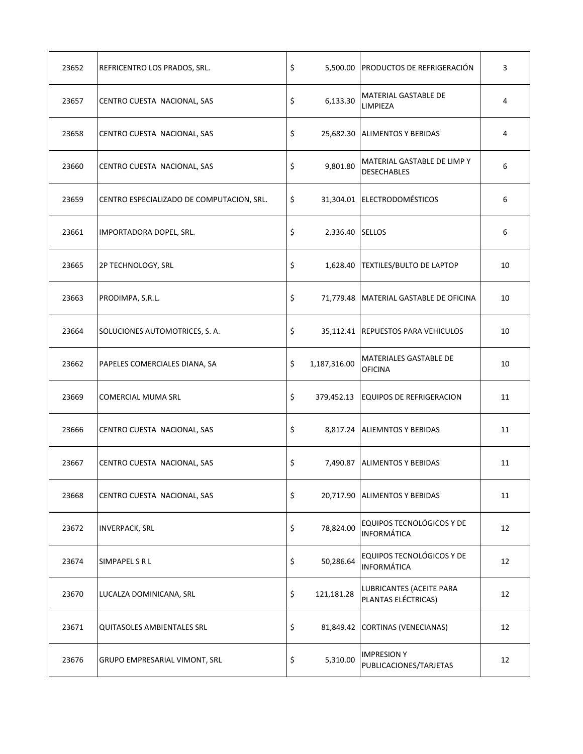| 23652 | REFRICENTRO LOS PRADOS, SRL.              | \$                    | 5,500.00 PRODUCTOS DE REFRIGERACIÓN               | 3  |
|-------|-------------------------------------------|-----------------------|---------------------------------------------------|----|
| 23657 | CENTRO CUESTA NACIONAL, SAS               | \$<br>6,133.30        | MATERIAL GASTABLE DE<br>LIMPIEZA                  | 4  |
| 23658 | CENTRO CUESTA NACIONAL, SAS               | \$                    | 25,682.30 ALIMENTOS Y BEBIDAS                     | 4  |
| 23660 | CENTRO CUESTA NACIONAL, SAS               | \$<br>9,801.80        | MATERIAL GASTABLE DE LIMP Y<br><b>DESECHABLES</b> | 6  |
| 23659 | CENTRO ESPECIALIZADO DE COMPUTACION, SRL. | \$                    | 31,304.01 ELECTRODOMÉSTICOS                       | 6  |
| 23661 | IMPORTADORA DOPEL, SRL.                   | \$<br>2,336.40 SELLOS |                                                   | 6  |
| 23665 | 2P TECHNOLOGY, SRL                        | \$                    | 1,628.40   TEXTILES/BULTO DE LAPTOP               | 10 |
| 23663 | PRODIMPA, S.R.L.                          | \$                    | 71,779.48   MATERIAL GASTABLE DE OFICINA          | 10 |
| 23664 | SOLUCIONES AUTOMOTRICES, S. A.            | \$                    | 35,112.41 REPUESTOS PARA VEHICULOS                | 10 |
| 23662 | PAPELES COMERCIALES DIANA, SA             | \$<br>1,187,316.00    | MATERIALES GASTABLE DE<br><b>OFICINA</b>          | 10 |
| 23669 | <b>COMERCIAL MUMA SRL</b>                 | \$<br>379,452.13      | <b>EQUIPOS DE REFRIGERACION</b>                   | 11 |
| 23666 | CENTRO CUESTA NACIONAL, SAS               | \$                    | 8,817.24 ALIEMNTOS Y BEBIDAS                      | 11 |
| 23667 | CENTRO CUESTA NACIONAL, SAS               | \$                    | 7,490.87 ALIMENTOS Y BEBIDAS                      | 11 |
| 23668 | CENTRO CUESTA NACIONAL, SAS               | \$                    | 20,717.90 ALIMENTOS Y BEBIDAS                     | 11 |
| 23672 | <b>INVERPACK, SRL</b>                     | \$<br>78,824.00       | EQUIPOS TECNOLÓGICOS Y DE<br><b>INFORMÁTICA</b>   | 12 |
| 23674 | SIMPAPEL S R L                            | \$<br>50,286.64       | EQUIPOS TECNOLÓGICOS Y DE<br><b>INFORMÁTICA</b>   | 12 |
| 23670 | LUCALZA DOMINICANA, SRL                   | \$<br>121,181.28      | LUBRICANTES (ACEITE PARA<br>PLANTAS ELÉCTRICAS)   | 12 |
| 23671 | <b>QUITASOLES AMBIENTALES SRL</b>         | \$                    | 81,849.42 CORTINAS (VENECIANAS)                   | 12 |
| 23676 | GRUPO EMPRESARIAL VIMONT, SRL             | \$<br>5,310.00        | <b>IMPRESION Y</b><br>PUBLICACIONES/TARJETAS      | 12 |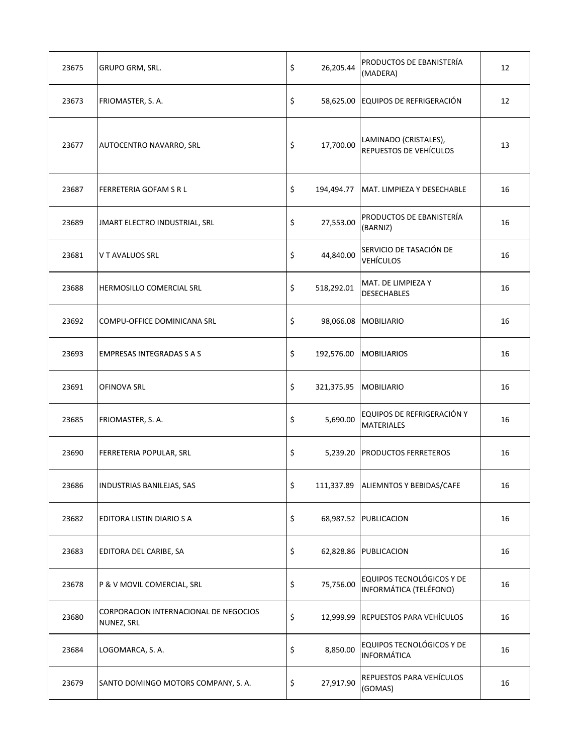| 23675 | GRUPO GRM, SRL.                                     | \$<br>26,205.44  | PRODUCTOS DE EBANISTERÍA<br>(MADERA)                | 12 |
|-------|-----------------------------------------------------|------------------|-----------------------------------------------------|----|
| 23673 | FRIOMASTER, S. A.                                   | \$               | 58,625.00 EQUIPOS DE REFRIGERACIÓN                  | 12 |
| 23677 | AUTOCENTRO NAVARRO, SRL                             | \$<br>17,700.00  | LAMINADO (CRISTALES),<br>REPUESTOS DE VEHÍCULOS     | 13 |
| 23687 | FERRETERIA GOFAM S R L                              | \$<br>194,494.77 | MAT. LIMPIEZA Y DESECHABLE                          | 16 |
| 23689 | JMART ELECTRO INDUSTRIAL, SRL                       | \$<br>27,553.00  | PRODUCTOS DE EBANISTERÍA<br>(BARNIZ)                | 16 |
| 23681 | V T AVALUOS SRL                                     | \$<br>44,840.00  | SERVICIO DE TASACIÓN DE<br><b>VEHÍCULOS</b>         | 16 |
| 23688 | HERMOSILLO COMERCIAL SRL                            | \$<br>518,292.01 | MAT. DE LIMPIEZA Y<br><b>DESECHABLES</b>            | 16 |
| 23692 | COMPU-OFFICE DOMINICANA SRL                         | \$               | 98,066.08   MOBILIARIO                              | 16 |
| 23693 | EMPRESAS INTEGRADAS S A S                           | \$<br>192,576.00 | <b>MOBILIARIOS</b>                                  | 16 |
| 23691 | OFINOVA SRL                                         | \$               | 321,375.95   MOBILIARIO                             | 16 |
| 23685 | FRIOMASTER, S. A.                                   | \$<br>5,690.00   | EQUIPOS DE REFRIGERACIÓN Y<br><b>MATERIALES</b>     | 16 |
| 23690 | FERRETERIA POPULAR, SRL                             | \$<br>5,239.20   | <b>PRODUCTOS FERRETEROS</b>                         | 16 |
| 23686 | INDUSTRIAS BANILEJAS, SAS                           | \$               | 111,337.89 ALIEMNTOS Y BEBIDAS/CAFE                 | 16 |
| 23682 | EDITORA LISTIN DIARIO S A                           | \$               | 68,987.52 PUBLICACION                               | 16 |
| 23683 | EDITORA DEL CARIBE, SA                              | \$<br>62,828.86  | PUBLICACION                                         | 16 |
| 23678 | P & V MOVIL COMERCIAL, SRL                          | \$<br>75,756.00  | EQUIPOS TECNOLÓGICOS Y DE<br>INFORMÁTICA (TELÉFONO) | 16 |
| 23680 | CORPORACION INTERNACIONAL DE NEGOCIOS<br>NUNEZ, SRL | \$<br>12,999.99  | <b>REPUESTOS PARA VEHÍCULOS</b>                     | 16 |
| 23684 | LOGOMARCA, S. A.                                    | \$<br>8,850.00   | EQUIPOS TECNOLÓGICOS Y DE<br><b>INFORMÁTICA</b>     | 16 |
| 23679 | SANTO DOMINGO MOTORS COMPANY, S.A.                  | \$<br>27,917.90  | REPUESTOS PARA VEHÍCULOS<br>(GOMAS)                 | 16 |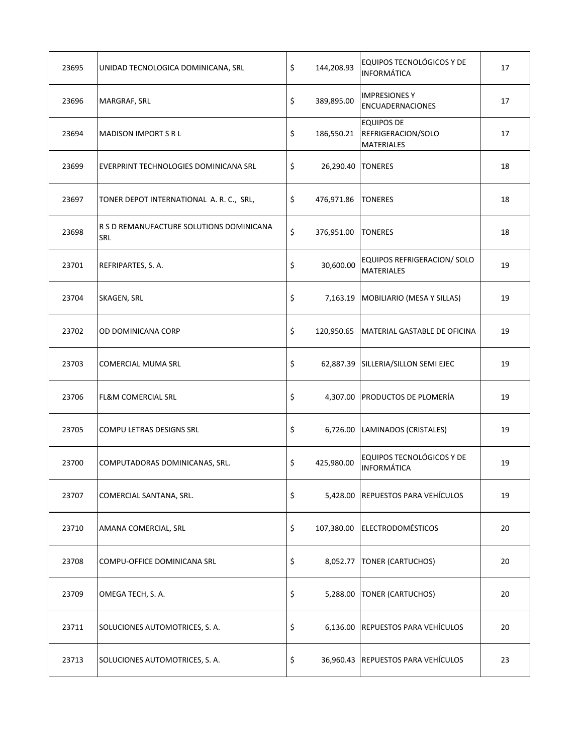| 23695 | UNIDAD TECNOLOGICA DOMINICANA, SRL              | \$      | 144,208.93        | EQUIPOS TECNOLÓGICOS Y DE<br><b>INFORMÁTICA</b>              | 17 |
|-------|-------------------------------------------------|---------|-------------------|--------------------------------------------------------------|----|
| 23696 | MARGRAF, SRL                                    | \$      | 389,895.00        | <b>IMPRESIONES Y</b><br><b>ENCUADERNACIONES</b>              | 17 |
| 23694 | <b>MADISON IMPORT S R L</b>                     | \$      | 186,550.21        | <b>EQUIPOS DE</b><br>REFRIGERACION/SOLO<br><b>MATERIALES</b> | 17 |
| 23699 | EVERPRINT TECHNOLOGIES DOMINICANA SRL           | \$      | 26,290.40 TONERES |                                                              | 18 |
| 23697 | TONER DEPOT INTERNATIONAL A. R. C., SRL,        | \$      | 476,971.86        | <b>TONERES</b>                                               | 18 |
| 23698 | R S D REMANUFACTURE SOLUTIONS DOMINICANA<br>SRL | $\zeta$ | 376,951.00        | <b>TONERES</b>                                               | 18 |
| 23701 | REFRIPARTES, S. A.                              | \$      | 30,600.00         | EQUIPOS REFRIGERACION/ SOLO<br><b>MATERIALES</b>             | 19 |
| 23704 | SKAGEN, SRL                                     | \$      |                   | 7,163.19   MOBILIARIO (MESA Y SILLAS)                        | 19 |
| 23702 | OD DOMINICANA CORP                              | \$      |                   | 120,950.65   MATERIAL GASTABLE DE OFICINA                    | 19 |
| 23703 | <b>COMERCIAL MUMA SRL</b>                       | \$      |                   | 62,887.39 SILLERIA/SILLON SEMI EJEC                          | 19 |
| 23706 | <b>FL&amp;M COMERCIAL SRL</b>                   | \$      |                   | 4,307.00 PRODUCTOS DE PLOMERÍA                               | 19 |
| 23705 | COMPU LETRAS DESIGNS SRL                        | \$      |                   | 6,726.00 LAMINADOS (CRISTALES)                               | 19 |
| 23700 | COMPUTADORAS DOMINICANAS, SRL.                  | \$      | 425,980.00        | EQUIPOS TECNOLÓGICOS Y DE<br><b>INFORMÁTICA</b>              | 19 |
| 23707 | COMERCIAL SANTANA, SRL.                         | \$      |                   | 5,428.00 REPUESTOS PARA VEHÍCULOS                            | 19 |
| 23710 | AMANA COMERCIAL, SRL                            | \$      | 107,380.00        | <b>ELECTRODOMÉSTICOS</b>                                     | 20 |
| 23708 | COMPU-OFFICE DOMINICANA SRL                     | \$      | 8,052.77          | <b>TONER (CARTUCHOS)</b>                                     | 20 |
| 23709 | OMEGA TECH, S. A.                               | \$      | 5,288.00          | <b>TONER (CARTUCHOS)</b>                                     | 20 |
| 23711 | SOLUCIONES AUTOMOTRICES, S. A.                  | \$      |                   | 6,136.00 REPUESTOS PARA VEHÍCULOS                            | 20 |
| 23713 | SOLUCIONES AUTOMOTRICES, S. A.                  | \$      |                   | 36,960.43 REPUESTOS PARA VEHÍCULOS                           | 23 |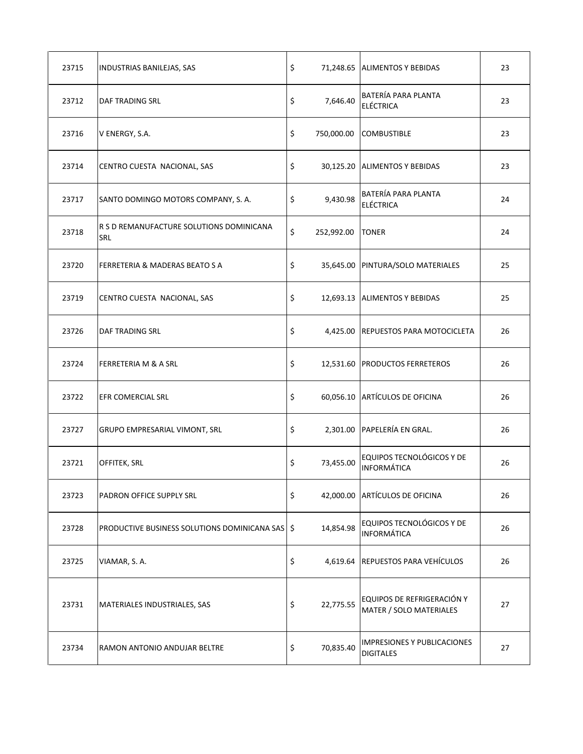| 23715 | INDUSTRIAS BANILEJAS, SAS                         | \$               | 71,248.65 ALIMENTOS Y BEBIDAS                          | 23 |
|-------|---------------------------------------------------|------------------|--------------------------------------------------------|----|
| 23712 | DAF TRADING SRL                                   | \$<br>7,646.40   | BATERÍA PARA PLANTA<br><b>ELÉCTRICA</b>                | 23 |
| 23716 | V ENERGY, S.A.                                    | \$<br>750,000.00 | <b>COMBUSTIBLE</b>                                     | 23 |
| 23714 | CENTRO CUESTA NACIONAL, SAS                       | \$               | 30,125.20 ALIMENTOS Y BEBIDAS                          | 23 |
| 23717 | SANTO DOMINGO MOTORS COMPANY, S. A.               | \$<br>9,430.98   | BATERÍA PARA PLANTA<br><b>ELÉCTRICA</b>                | 24 |
| 23718 | R S D REMANUFACTURE SOLUTIONS DOMINICANA<br>SRL   | \$               | 252,992.00 TONER                                       | 24 |
| 23720 | FERRETERIA & MADERAS BEATO S A                    | \$               | 35,645.00   PINTURA/SOLO MATERIALES                    | 25 |
| 23719 | CENTRO CUESTA NACIONAL, SAS                       | \$               | 12,693.13 ALIMENTOS Y BEBIDAS                          | 25 |
| 23726 | DAF TRADING SRL                                   | \$               | 4,425.00 REPUESTOS PARA MOTOCICLETA                    | 26 |
| 23724 | FERRETERIA M & A SRL                              | \$               | 12,531.60 PRODUCTOS FERRETEROS                         | 26 |
| 23722 | EFR COMERCIAL SRL                                 | \$               | 60,056.10 ARTÍCULOS DE OFICINA                         | 26 |
| 23727 | GRUPO EMPRESARIAL VIMONT, SRL                     | \$<br>2,301.00   | PAPELERÍA EN GRAL.                                     | 26 |
| 23721 | OFFITEK, SRL                                      | \$<br>73,455.00  | EQUIPOS TECNOLÓGICOS Y DE<br><b>INFORMÁTICA</b>        | 26 |
| 23723 | PADRON OFFICE SUPPLY SRL                          | \$               | 42,000.00 ARTÍCULOS DE OFICINA                         | 26 |
| 23728 | PRODUCTIVE BUSINESS SOLUTIONS DOMINICANA SAS   \$ | 14,854.98        | EQUIPOS TECNOLÓGICOS Y DE<br><b>INFORMÁTICA</b>        | 26 |
| 23725 | VIAMAR, S. A.                                     | \$<br>4,619.64   | <b>REPUESTOS PARA VEHÍCULOS</b>                        | 26 |
| 23731 | MATERIALES INDUSTRIALES, SAS                      | \$<br>22,775.55  | EQUIPOS DE REFRIGERACIÓN Y<br>MATER / SOLO MATERIALES  | 27 |
| 23734 | RAMON ANTONIO ANDUJAR BELTRE                      | \$<br>70,835.40  | <b>IMPRESIONES Y PUBLICACIONES</b><br><b>DIGITALES</b> | 27 |